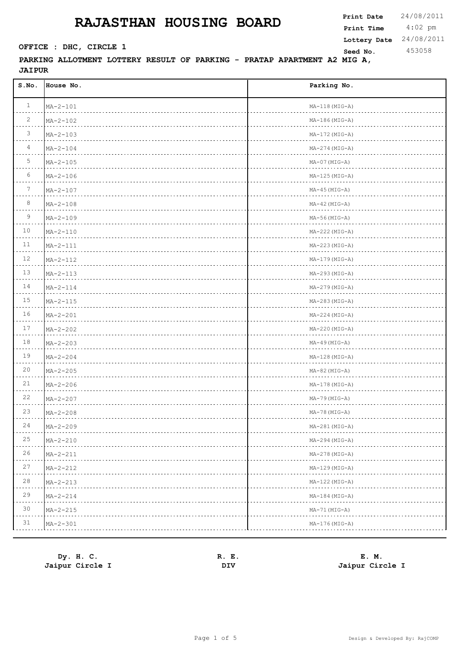4:02 pm **Print Date**  $24/08/2011$ **Print Time SEED CONSTRUCTER : DHC, CIRCLE 1 Seed No.** 453058 **Lottery Date** 24/08/2011

| S.NO.                                                                                                                           | House No.      | Parking No.                                  |
|---------------------------------------------------------------------------------------------------------------------------------|----------------|----------------------------------------------|
| $\mathbf{1}$                                                                                                                    | $MA-2-101$     | $MA-118(MIG-A)$                              |
| 2                                                                                                                               | $MA - 2 - 102$ | $MA-186(MIG-A)$                              |
| $\mathcal{S}$                                                                                                                   | $MA - 2 - 103$ | $MA-172(MIG-A)$                              |
| 4                                                                                                                               | $MA - 2 - 104$ | $MA-274 (MIG-A)$                             |
| 5                                                                                                                               | $MA - 2 - 105$ | $MA-07 (MIG-A)$                              |
| 6                                                                                                                               | $MA-2-106$     | $MA-125(MIG-A)$                              |
| $7\phantom{.0}$                                                                                                                 | $MA - 2 - 107$ | $MA-45$ ( $MIG-A$ )                          |
| 8                                                                                                                               | $MA - 2 - 108$ | $MA-42 (MIG-A)$                              |
| 9                                                                                                                               | $MA - 2 - 109$ | $MA-56$ ( $MIG-A$ )                          |
| 10                                                                                                                              | $MA - 2 - 110$ | $MA-222(MIG-A)$                              |
| 11                                                                                                                              | $MA-2-111$     | $MA-223(MIG-A)$                              |
| 12                                                                                                                              | $MA - 2 - 112$ | $MA-179(MIG-A)$                              |
| 13                                                                                                                              | $MA - 2 - 113$ | $MA-293(MIG-A)$                              |
| 14                                                                                                                              | $MA-2-114$     | $MA-279(MIG-A)$                              |
| 15                                                                                                                              | $MA - 2 - 115$ | $MA-283(MIG-A)$                              |
| 16                                                                                                                              | $MA - 2 - 201$ | $MA-224 (MIG-A)$                             |
| 17                                                                                                                              | $MA - 2 - 202$ | $MA-220 (MIG-A)$                             |
| 18                                                                                                                              | $MA - 2 - 203$ | $MA-49$ ( $MIG-A$ )                          |
| 19                                                                                                                              | $MA - 2 - 204$ | $MA-128(MIG-A)$                              |
| 20                                                                                                                              | $MA - 2 - 205$ | $MA-82$ ( $MIG-A$ )                          |
| 21                                                                                                                              | $MA - 2 - 206$ | $MA-178(MIG-A)$                              |
| 22                                                                                                                              | $MA - 2 - 207$ | $MA-79$ ( $MIG-A$ )                          |
| 23                                                                                                                              | $MA - 2 - 208$ | $MA-78(MIG-A)$                               |
| 24<br>$\frac{1}{2} \left( \frac{1}{2} \right) \left( \frac{1}{2} \right) \left( \frac{1}{2} \right) \left( \frac{1}{2} \right)$ | $MA - 2 - 209$ | MA-281 (MIG-A)                               |
| 25                                                                                                                              | $MA - 2 - 210$ | $MA-294 (MIG-A)$                             |
| 26                                                                                                                              | $MA - 2 - 211$ | MA-278 (MIG-A)<br>the company of the company |
| 27                                                                                                                              | $MA - 2 - 212$ | $MA-129(MIG-A)$                              |
| 28                                                                                                                              | $MA - 2 - 213$ | MA-122 (MIG-A)                               |
| 29                                                                                                                              | $MA - 2 - 214$ | MA-184 (MIG-A)                               |
| 30                                                                                                                              | $MA - 2 - 215$ | MA-71 (MIG-A)                                |
| 31                                                                                                                              | $MA - 2 - 301$ | MA-176 (MIG-A)                               |

| Dy. H. C.       | Е.<br>R. | E. M.           |
|-----------------|----------|-----------------|
| Jaipur Circle I | DIV      | Jaipur Circle I |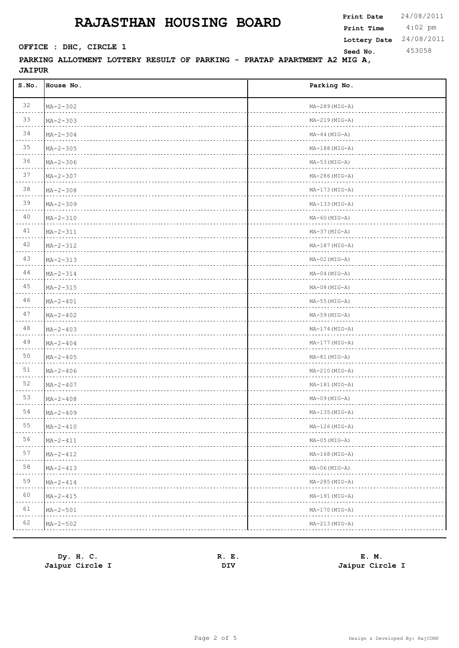4:02 pm **Print Date**  $24/08/2011$ **Print Time SEED CONSTRUCTER : DHC, CIRCLE 1 Seed No.** 453058 **Lottery Date** 24/08/2011

| S.NO. | House No.      | Parking No.          |
|-------|----------------|----------------------|
| 32    | $MA - 2 - 302$ | $MA-289(MIG-A)$      |
| 33    | $MA - 2 - 303$ | $MA-219(MIG-A)$      |
| 34    | $MA - 2 - 304$ | $MA-44 (MIG-A)$      |
| 35    | $MA - 2 - 305$ | $MA-188(MIG-A)$      |
| 36    | $MA - 2 - 306$ | $MA-53$ ( $MIG-A$ )  |
| 37    | $MA - 2 - 307$ | $MA-286(MIG-A)$      |
| 38    | $MA - 2 - 308$ | $MA-173(MIG-A)$      |
| 39    | $MA - 2 - 309$ | $MA-133(MIG-A)$      |
| 40    | $MA - 2 - 310$ | $MA-60$ ( $MIG-A$ )  |
| 41    | $MA - 2 - 311$ | $MA-37 (MIG-A)$      |
| 42    | $MA - 2 - 312$ | $MA-187 (MIG-A)$     |
| 43    | $MA - 2 - 313$ | $MA-02$ (MIG-A)      |
| 44    | $MA - 2 - 314$ | $MA-04 (MIG-A)$      |
| 45    | $MA - 2 - 315$ | $MA-08(MIG-A)$       |
| 46    | $MA - 2 - 401$ | $MA-55$ ( $MIG-A$ )  |
| 47    | $MA - 2 - 402$ | $MA-59$ ( $MIG-A$ )  |
| 48    | $MA - 2 - 403$ | $MA-174 (MIG-A)$     |
| 49    | $MA - 2 - 404$ | $MA-177 (MIG-A)$     |
| 50    | $MA - 2 - 405$ | $MA-81$ ( $MIG-A$ )  |
| 51    | $MA - 2 - 406$ | $MA-210(MIG-A)$      |
| 52    | $MA - 2 - 407$ | $MA-181$ ( $MIG-A$ ) |
| 53    | $MA - 2 - 408$ | $MA-09$ ( $MIG-A$ )  |
| 54    | $MA - 2 - 409$ | MA-135 (MIG-A)       |
| 55    | $MA - 2 - 410$ | MA-126 (MIG-A)       |
| 56    | $MA - 2 - 411$ | $MA-05 (MIG-A)$      |
| 57    | $MA - 2 - 412$ | $MA-168 (MIG-A)$     |
| 58    | $MA - 2 - 413$ | $MA-06$ (MIG-A)      |
| 59    | $MA - 2 - 414$ | $MA-285(MIG-A)$      |
| 60    | $MA - 2 - 415$ | $MA-191(MIG-A)$      |
| 61    | $MA - 2 - 501$ | $MA-170 (MIG-A)$     |
| 62    | $MA - 2 - 502$ | $MA-213(MIG-A)$      |

| Dy. H. C.       | R.<br>. д.<br>$\sim$ | E. M.           |
|-----------------|----------------------|-----------------|
| Jaipur Circle I | DIV                  | Jaipur Circle I |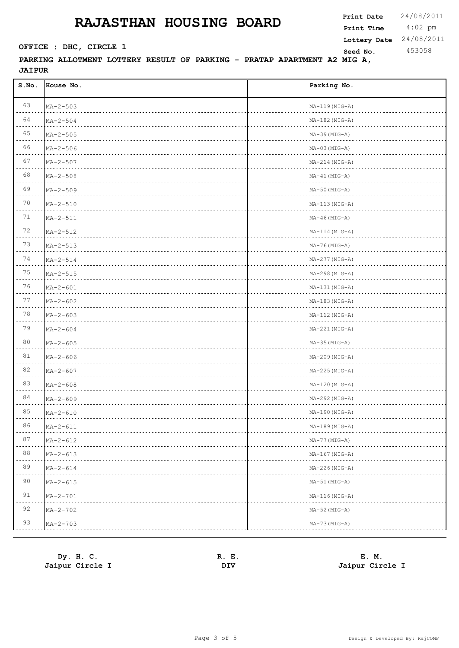4:02 pm **Print Date**  $24/08/2011$ **Print Time SEED CONSTRUCTER : DHC, CIRCLE 1 Seed No.** 453058 **Lottery Date** 24/08/2011

| S.NO.          | House No.           | Parking No.          |
|----------------|---------------------|----------------------|
| 63             | $MA - 2 - 503$      | $MA-119(MIG-A)$      |
| 64             | $MA - 2 - 504$      | $MA-182$ ( $MIG-A$ ) |
| 65             | $MA - 2 - 505$      | $MA-39$ ( $MIG-A$ )  |
| 66             | $MA - 2 - 506$      | $MA-03 (MIG-A)$      |
| 67             | $MA - 2 - 507$      | $MA-214 (MIG-A)$     |
| 68             | $MA - 2 - 508$      | $MA-41 (MIG-A)$      |
| 69             | $MA - 2 - 509$      | $MA-50$ ( $MIG-A$ )  |
| 70             | $MA - 2 - 510$      | $MA-113(MIG-A)$      |
| 71             | $MA - 2 - 511$      | $MA-46$ ( $MIG-A$ )  |
| 72             | $MA - 2 - 512$      | $MA-114 (MIG-A)$     |
| 73             | $MA - 2 - 513$      | $MA-76 (MIG-A)$      |
| 74             | $MA - 2 - 514$      | $MA-277 (MIG-A)$     |
| 75             | $MA - 2 - 515$      | $MA-298(MIG-A)$      |
| 76             | $MA-2-601$          | $MA-131(MIG-A)$      |
| 77             | $MA - 2 - 602$      | $MA-183(MIG-A)$      |
| 78             | $MA - 2 - 603$      | $MA-112(MIG-A)$      |
| 79             | $MA - 2 - 604$      | $MA-221(MIG-A)$      |
| 80             | $MA - 2 - 605$      | $MA-35 (MIG-A)$      |
| 81             | $MA - 2 - 606$      | $MA-209(MIG-A)$      |
| 82             | $MA - 2 - 607$      | $MA-225(MIG-A)$      |
| 83             | $MA - 2 - 608$      | $MA-120(MIG-A)$      |
| 84             | $MA - 2 - 609$      | $MA-292 (MIG-A)$     |
| 85             | $MA - 2 - 610$      | $MA-190(MIG-A)$      |
| 86<br>$\cdots$ | $MA - 2 - 611$<br>. | $MA-189$ ( $MIG-A$ ) |
| 87             | $MA - 2 - 612$      | MA-77 (MIG-A)        |
| 88             | $MA - 2 - 613$      | $MA-167 (MIG-A)$     |
| 89             | $MA - 2 - 614$      | $MA-226(MIG-A)$      |
| 90             | $MA - 2 - 615$      | MA-51 (MIG-A)        |
| 91             | $MA - 2 - 701$      | $MA-116(MIG-A)$      |
| 92             | $MA - 2 - 702$      | MA-52 (MIG-A)        |
| 93             | $MA - 2 - 703$      | $MA-73 (MIG-A)$      |

| Dy. H. C.       | Е.<br>к. | E. M.           |
|-----------------|----------|-----------------|
| Jaipur Circle I | DIV      | Jaipur Circle I |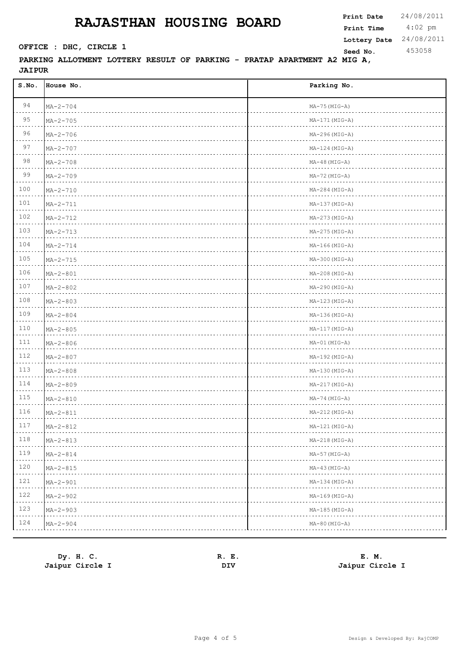4:02 pm **Print Date**  $24/08/2011$ **Print Time SEED CONSTRUCTER : DHC, CIRCLE 1 Seed No.** 453058 **Lottery Date** 24/08/2011

| S.NO.                                                                                                                                       | House No.           | Parking No.          |
|---------------------------------------------------------------------------------------------------------------------------------------------|---------------------|----------------------|
| 94                                                                                                                                          | $MA - 2 - 704$      | $MA-75 (MIG-A)$      |
| 95                                                                                                                                          | $MA - 2 - 705$      | $MA-171(MIG-A)$      |
| 96                                                                                                                                          | $MA - 2 - 706$      | $MA-296(MIG-A)$      |
| 97                                                                                                                                          | $MA - 2 - 707$      | $MA-124 (MIG-A)$     |
| 98                                                                                                                                          | $MA - 2 - 708$      | $MA-48$ (MIG-A)      |
| 99                                                                                                                                          | $MA - 2 - 709$      | $MA-72 (MIG-A)$      |
| 100                                                                                                                                         | $MA - 2 - 710$      | $MA-284 (MIG-A)$     |
| 101                                                                                                                                         | $MA - 2 - 711$      | $MA-137 (MIG-A)$     |
| 102                                                                                                                                         | $MA - 2 - 712$      | $MA-273(MIG-A)$      |
| 103                                                                                                                                         | $MA - 2 - 713$      | $MA-275(MIG-A)$      |
| 104                                                                                                                                         | $MA - 2 - 714$      | $MA-166 (MIG-A)$     |
| 105                                                                                                                                         | $MA - 2 - 715$      | $MA-300$ ( $MIG-A$ ) |
| 106                                                                                                                                         | $MA - 2 - 801$      | $MA-208(MIG-A)$      |
| 107                                                                                                                                         | $MA - 2 - 802$      | $MA-290 (MIG-A)$     |
| 108                                                                                                                                         | $MA - 2 - 803$      | $MA-123(MIG-A)$      |
| 109                                                                                                                                         | $MA - 2 - 804$      | $MA-136(MIG-A)$      |
| 110                                                                                                                                         | $MA - 2 - 805$      | $MA-117(MIG-A)$      |
| 111                                                                                                                                         | $MA - 2 - 806$      | MA-01 (MIG-A)        |
| 112                                                                                                                                         | $MA - 2 - 807$      | $MA-192 (MIG-A)$     |
| 113                                                                                                                                         | $MA - 2 - 808$      | $MA-130 (MIG-A)$     |
| 114                                                                                                                                         | $MA - 2 - 809$      | $MA-217 (MIG-A)$     |
| 115                                                                                                                                         | $MA - 2 - 810$      | $MA-74 (MIG-A)$      |
| 116                                                                                                                                         | $MA - 2 - 811$      | $MA-212$ ( $MIG-A$ ) |
| 117<br>$\mathcal{L}^{\mathcal{A}}\left( \mathcal{A}^{\mathcal{A}}\right) =\mathcal{L}^{\mathcal{A}}\left( \mathcal{A}^{\mathcal{A}}\right)$ | $MA - 2 - 812$<br>. | MA-121 (MIG-A)<br>.  |
| 118                                                                                                                                         | $MA - 2 - 813$      | $MA-218(MIG-A)$      |
| 119                                                                                                                                         | $MA - 2 - 814$      | $MA-57$ ( $MIG-A$ )  |
| 120                                                                                                                                         | $MA - 2 - 815$      | $MA-43 (MIG-A)$      |
| 121                                                                                                                                         | $MA - 2 - 901$      | $MA-134 (MIG-A)$     |
| 122                                                                                                                                         | $MA - 2 - 902$      | $MA-169$ (MIG-A)     |
| 123                                                                                                                                         | $MA - 2 - 903$      | $MA-185(MIG-A)$      |
| 124                                                                                                                                         | $MA - 2 - 904$      | $MA-80$ (MIG-A)      |

| Dy. H. C.       | Е.<br>к. | E. M.           |
|-----------------|----------|-----------------|
| Jaipur Circle I | DIV      | Jaipur Circle I |